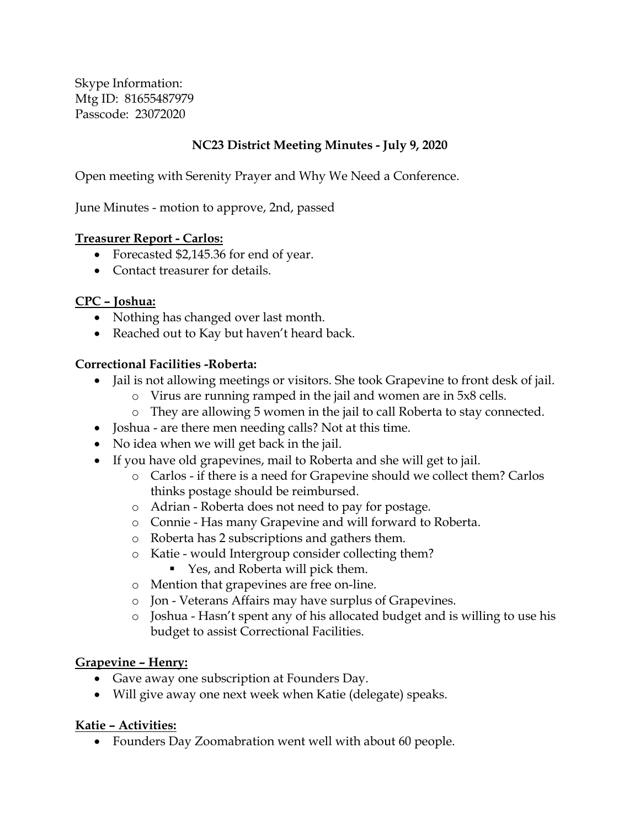Skype Information: Mtg ID: 81655487979 Passcode: 23072020

### **NC23 District Meeting Minutes - July 9, 2020**

Open meeting with Serenity Prayer and Why We Need a Conference.

June Minutes - motion to approve, 2nd, passed

#### **Treasurer Report - Carlos:**

- Forecasted \$2,145.36 for end of year.
- Contact treasurer for details.

#### **CPC – Joshua:**

- Nothing has changed over last month.
- Reached out to Kay but haven't heard back.

#### **Correctional Facilities -Roberta:**

- Jail is not allowing meetings or visitors. She took Grapevine to front desk of jail.
	- o Virus are running ramped in the jail and women are in 5x8 cells.
	- o They are allowing 5 women in the jail to call Roberta to stay connected.
- Joshua are there men needing calls? Not at this time.
- No idea when we will get back in the jail.
- If you have old grapevines, mail to Roberta and she will get to jail.
	- o Carlos if there is a need for Grapevine should we collect them? Carlos thinks postage should be reimbursed.
	- o Adrian Roberta does not need to pay for postage.
	- o Connie Has many Grapevine and will forward to Roberta.
	- o Roberta has 2 subscriptions and gathers them.
	- o Katie would Intergroup consider collecting them?
		- Yes, and Roberta will pick them.
	- o Mention that grapevines are free on-line.
	- o Jon Veterans Affairs may have surplus of Grapevines.
	- o Joshua Hasn't spent any of his allocated budget and is willing to use his budget to assist Correctional Facilities.

#### **Grapevine – Henry:**

- Gave away one subscription at Founders Day.
- Will give away one next week when Katie (delegate) speaks.

#### **Katie – Activities:**

• Founders Day Zoomabration went well with about 60 people.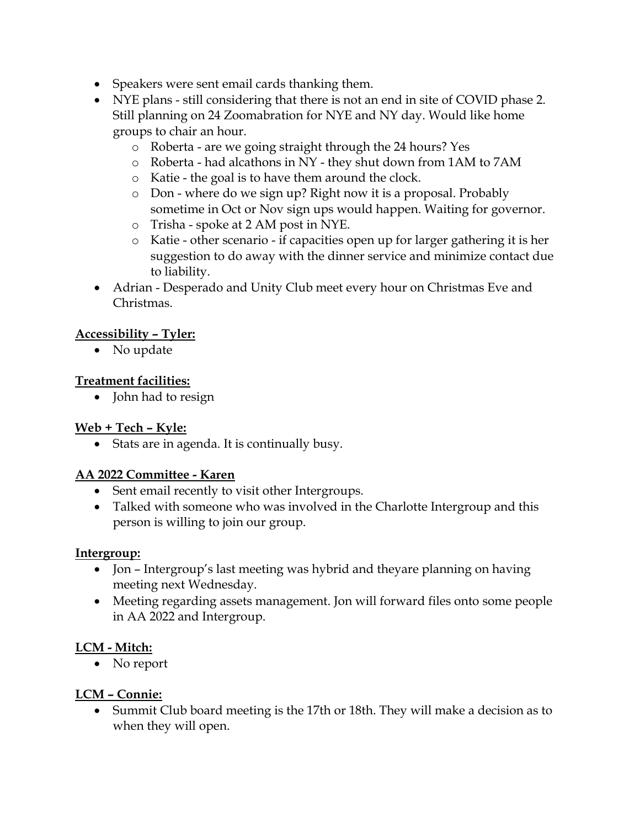- Speakers were sent email cards thanking them.
- NYE plans still considering that there is not an end in site of COVID phase 2. Still planning on 24 Zoomabration for NYE and NY day. Would like home groups to chair an hour.
	- o Roberta are we going straight through the 24 hours? Yes
	- o Roberta had alcathons in NY they shut down from 1AM to 7AM
	- o Katie the goal is to have them around the clock.
	- o Don where do we sign up? Right now it is a proposal. Probably sometime in Oct or Nov sign ups would happen. Waiting for governor.
	- o Trisha spoke at 2 AM post in NYE.
	- o Katie other scenario if capacities open up for larger gathering it is her suggestion to do away with the dinner service and minimize contact due to liability.
- Adrian Desperado and Unity Club meet every hour on Christmas Eve and Christmas.

# **Accessibility – Tyler:**

• No update

### **Treatment facilities:**

• John had to resign

### **Web + Tech – Kyle:**

• Stats are in agenda. It is continually busy.

### **AA 2022 Committee - Karen**

- Sent email recently to visit other Intergroups.
- Talked with someone who was involved in the Charlotte Intergroup and this person is willing to join our group.

### **Intergroup:**

- Jon Intergroup's last meeting was hybrid and theyare planning on having meeting next Wednesday.
- Meeting regarding assets management. Jon will forward files onto some people in AA 2022 and Intergroup.

### **LCM - Mitch:**

• No report

### **LCM – Connie:**

• Summit Club board meeting is the 17th or 18th. They will make a decision as to when they will open.